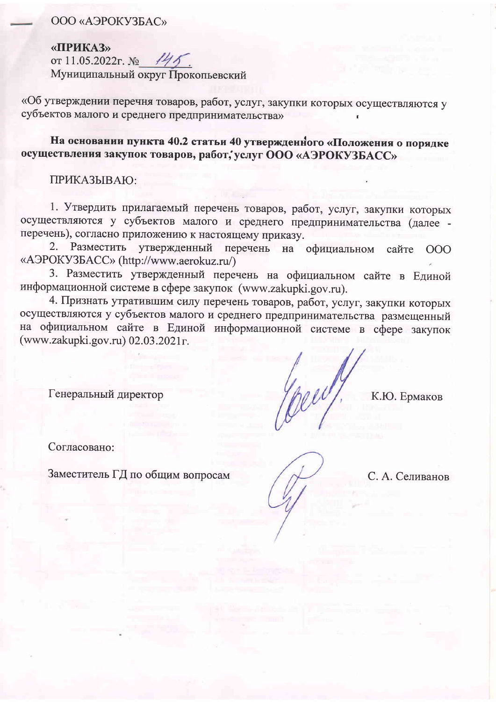## ООО «АЭРОКУЗБАС»

«ПРИКАЗ» от 11.05.2022г. № 44 Муниципальный округ Прокопьевский

«Об утверждении перечня товаров, работ, услуг, закупки которых осуществляются у субъектов малого и среднего предпринимательства»

На основании пункта 40.2 статьи 40 утвержденного «Положения о порядке осуществления закупок товаров, работ, услуг ООО «АЭРОКУЗБАСС»

ПРИКАЗЫВАЮ:

1. Утвердить прилагаемый перечень товаров, работ, услуг, закупки которых осуществляются у субъектов малого и среднего предпринимательства (далее перечень), согласно приложению к настоящему приказу.

Разместить утвержденный перечень на официальном 2. сайте 000 «АЭРОКУЗБАСС» (http://www.aerokuz.ru/)

3. Разместить утвержденный перечень на официальном сайте в Единой информационной системе в сфере закупок (www.zakupki.gov.ru).

4. Признать утратившим силу перечень товаров, работ, услуг, закупки которых осуществляются у субъектов малого и среднего предпринимательства размещенный на официальном сайте в Единой информационной системе в сфере закупок (www.zakupki.gov.ru) 02.03.2021r.

Генеральный директор

К.Ю. Ермаков

Согласовано:

Заместитель ГД по общим вопросам

С. А. Селиванов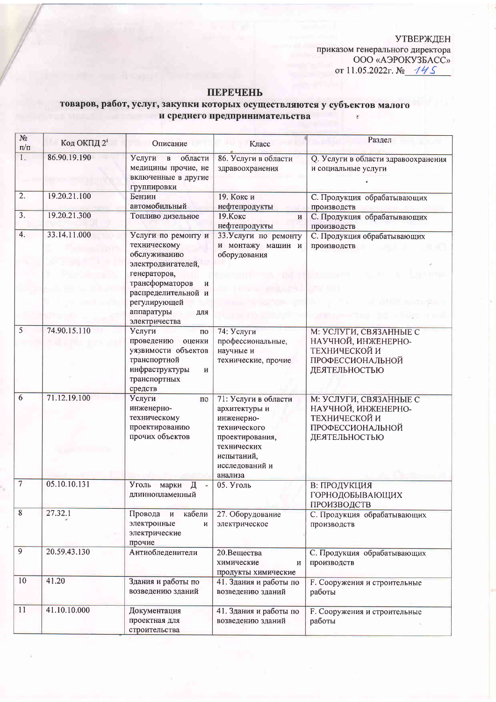УТВЕРЖДЕН<br>приказом генерального директора<br>ООО «АЭРОКУЗБАСС» от 11.05.2022г. № 145

## **ПЕРЕЧЕНЬ**

## товаров, работ, услуг, закупки которых осуществляются у субъектов малого<br>и среднего предпринимательства

| $N2$<br>$\Pi/\Pi$ | Код ОКПД $2^i$ | Описание                                                                                                                                                                                       | Класс                                                                                                                                            | Раздел                                                                                              |
|-------------------|----------------|------------------------------------------------------------------------------------------------------------------------------------------------------------------------------------------------|--------------------------------------------------------------------------------------------------------------------------------------------------|-----------------------------------------------------------------------------------------------------|
| L.                | 86.90.19.190   | Услуги<br>в области<br>медицины прочие, не<br>включенные в другие<br>группировки                                                                                                               | 86. Услуги в области<br>здравоохранения                                                                                                          | Q. Услуги в области здравоохранения<br>и социальные услуги                                          |
| $\overline{2}$ .  | 19.20.21.100   | Бензин<br>автомобильный                                                                                                                                                                        | 19. Кокс и<br>нефтепродукты                                                                                                                      | С. Продукция обрабатывающих<br>производств                                                          |
| $\overline{3}$ .  | 19.20.21.300   | Топливо дизельное                                                                                                                                                                              | 19. Кокс<br>И<br>нефтепродукты                                                                                                                   | С. Продукция обрабатывающих<br>производств                                                          |
| 4.                | 33.14.11.000   | Услуги по ремонту и<br>техническому<br>обслуживанию<br>электродвигателей,<br>генераторов,<br>трансформаторов<br>И<br>распределительной и<br>регулирующей<br>аппаратуры<br>ДЛЯ<br>электричества | 33. Услуги по ремонту<br>и монтажу машин и<br>оборудования                                                                                       | С. Продукция обрабатывающих<br>производств                                                          |
| $\overline{5}$    | 74.90.15.110   | Услуги<br>$\Pi$ O<br>проведению<br>оценки<br>уязвимости объектов<br>транспортной<br>инфраструктуры<br>И<br>транспортных<br>средств                                                             | 74: Услуги<br>профессиональные,<br>научные и<br>технические, прочие                                                                              | М: УСЛУГИ, СВЯЗАННЫЕ С<br>НАУЧНОЙ, ИНЖЕНЕРНО-<br>ТЕХНИЧЕСКОЙ И<br>ПРОФЕССИОНАЛЬНОЙ<br>ДЕЯТЕЛЬНОСТЬЮ |
| $6\overline{6}$   | 71.12.19.100   | Услуги<br>по<br>инженерно-<br>техническому<br>проектированию<br>прочих объектов                                                                                                                | 71: Услуги в области<br>архитектуры и<br>инженерно-<br>технического<br>проектирования,<br>технических<br>испытаний,<br>исследований и<br>анализа | М: УСЛУГИ, СВЯЗАННЫЕ С<br>НАУЧНОЙ, ИНЖЕНЕРНО-<br>ТЕХНИЧЕСКОЙ И<br>ПРОФЕССИОНАЛЬНОЙ<br>ДЕЯТЕЛЬНОСТЬЮ |
| $\overline{7}$    | 05.10.10.131   | Уголь<br>марки<br>Д<br>длиннопламенный                                                                                                                                                         | 05. Уголь                                                                                                                                        | В: ПРОДУКЦИЯ<br>ГОРНОДОБЫВАЮЩИХ<br>ПРОИЗВОДСТВ                                                      |
| $\sqrt{8}$        | 27.32.1        | Провода и<br>кабели<br>электронные<br>И<br>электрические<br>прочие                                                                                                                             | 27. Оборудование<br>электрическое                                                                                                                | С. Продукция обрабатывающих<br>производств                                                          |
| $\overline{9}$    | 20.59.43.130   | Антиобледенители                                                                                                                                                                               | 20.Вещества<br>химические<br>И<br>продукты химические                                                                                            | С. Продукция обрабатывающих<br>производств                                                          |
| 10                | 41.20          | Здания и работы по<br>возведению зданий                                                                                                                                                        | 41. Здания и работы по<br>возведению зданий                                                                                                      | <b>F. Сооружения и строительные</b><br>работы                                                       |
| 11                | 41.10.10.000   | Документация<br>проектная для<br>строительства                                                                                                                                                 | 41. Здания и работы по<br>возведению зданий                                                                                                      | <b>F. Сооружения и строительные</b><br>работы                                                       |